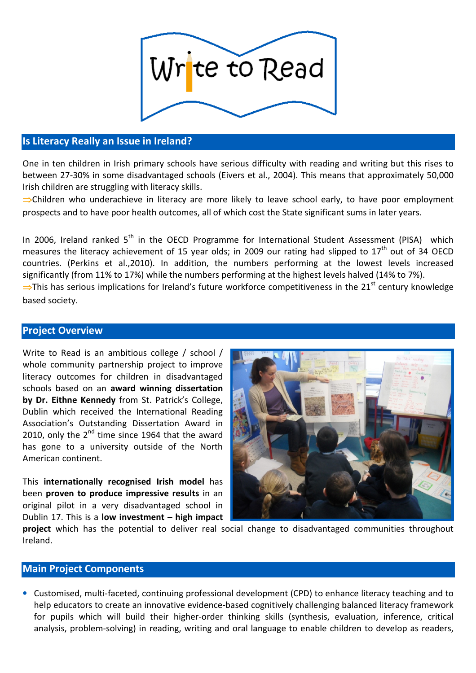

# Is Literacy Really an Issue in Ireland?

One in ten children in Irish primary schools have serious difficulty with reading and writing but this rises to between 27-30% in some disadvantaged schools (Eivers et al., 2004). This means that approximately 50,000 Irish children are struggling with literacy skills.

⇒Children who underachieve in literacy are more likely to leave school early, to have poor employment prospects and to have poor health outcomes, all of which cost the State significant sums in later years.

In 2006, Ireland ranked  $5<sup>th</sup>$  in the OECD Programme for International Student Assessment (PISA) which measures the literacy achievement of 15 year olds; in 2009 our rating had slipped to  $17<sup>th</sup>$  out of 34 OECD countries. (Perkins et al.,2010). In addition, the numbers performing at the lowest levels increased significantly (from 11% to 17%) while the numbers performing at the highest levels halved (14% to 7%).  $\Rightarrow$ This has serious implications for Ireland's future workforce competitiveness in the 21<sup>st</sup> century knowledge

based society.

## Project Overview

Write to Read is an ambitious college / school / whole community partnership project to improve literacy outcomes for children in disadvantaged schools based on an award winning dissertation by Dr. Eithne Kennedy from St. Patrick's College, Dublin which received the International Reading Association's Outstanding Dissertation Award in 2010, only the  $2^{nd}$  time since 1964 that the award has gone to a university outside of the North American continent.

This internationally recognised Irish model has been proven to produce impressive results in an original pilot in a very disadvantaged school in Dublin 17. This is a low investment – high impact



project which has the potential to deliver real social change to disadvantaged communities throughout Ireland.

### Main Project Components

• Customised, multi-faceted, continuing professional development (CPD) to enhance literacy teaching and to help educators to create an innovative evidence-based cognitively challenging balanced literacy framework for pupils which will build their higher-order thinking skills (synthesis, evaluation, inference, critical analysis, problem-solving) in reading, writing and oral language to enable children to develop as readers,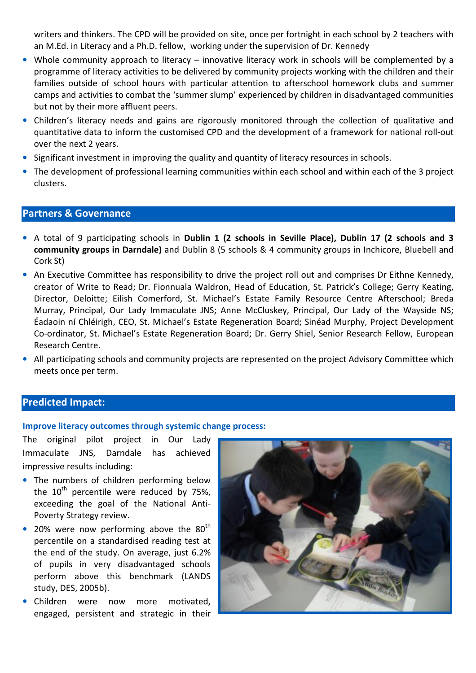writers and thinkers. The CPD will be provided on site, once per fortnight in each school by 2 teachers with an M.Ed. in Literacy and a Ph.D. fellow, working under the supervision of Dr. Kennedy

- Whole community approach to literacy innovative literacy work in schools will be complemented by a programme of literacy activities to be delivered by community projects working with the children and their families outside of school hours with particular attention to afterschool homework clubs and summer camps and activities to combat the 'summer slump' experienced by children in disadvantaged communities but not by their more affluent peers.
- Children's literacy needs and gains are rigorously monitored through the collection of qualitative and quantitative data to inform the customised CPD and the development of a framework for national roll-out over the next 2 years.
- Significant investment in improving the quality and quantity of literacy resources in schools.
- The development of professional learning communities within each school and within each of the 3 project clusters.

## Partners & Governance

- A total of 9 participating schools in Dublin 1 (2 schools in Seville Place), Dublin 17 (2 schools and 3 community groups in Darndale) and Dublin 8 (5 schools & 4 community groups in Inchicore, Bluebell and Cork St)
- An Executive Committee has responsibility to drive the project roll out and comprises Dr Eithne Kennedy, creator of Write to Read; Dr. Fionnuala Waldron, Head of Education, St. Patrick's College; Gerry Keating, Director, Deloitte; Eilish Comerford, St. Michael's Estate Family Resource Centre Afterschool; Breda Murray, Principal, Our Lady Immaculate JNS; Anne McCluskey, Principal, Our Lady of the Wayside NS; Éadaoin ní Chléirigh, CEO, St. Michael's Estate Regeneration Board; Sinéad Murphy, Project Development Co-ordinator, St. Michael's Estate Regeneration Board; Dr. Gerry Shiel, Senior Research Fellow, European Research Centre.
- All participating schools and community projects are represented on the project Advisory Committee which meets once per term.

## Predicted Impact:

#### Improve literacy outcomes through systemic change process:

The original pilot project in Our Lady Immaculate JNS, Darndale has achieved impressive results including:

- The numbers of children performing below the  $10^{th}$  percentile were reduced by 75%, exceeding the goal of the National Anti-Poverty Strategy review.
- 20% were now performing above the  $80<sup>th</sup>$ percentile on a standardised reading test at the end of the study. On average, just 6.2% of pupils in very disadvantaged schools perform above this benchmark (LANDS study, DES, 2005b).
- Children were now more motivated, engaged, persistent and strategic in their